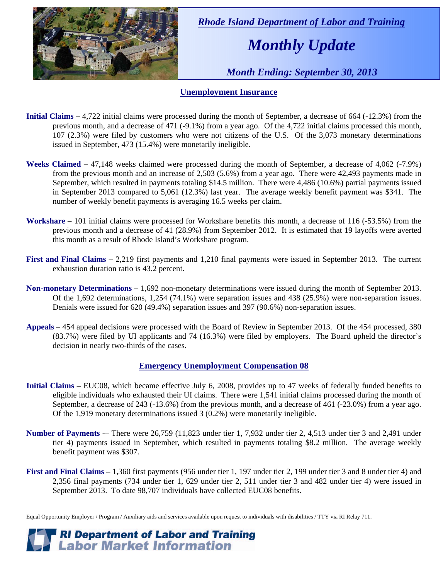

 *Rhode Island Department of Labor and Training* 

# *Monthly Update*

 *Month Ending: September 30, 2013* 

#### **Unemployment Insurance**

- **Initial Claims** 4,722 initial claims were processed during the month of September, a decrease of 664 (-12.3%) from the previous month, and a decrease of 471 (-9.1%) from a year ago. Of the 4,722 initial claims processed this month, 107 (2.3%) were filed by customers who were not citizens of the U.S. Of the 3,073 monetary determinations issued in September, 473 (15.4%) were monetarily ineligible.
- **Weeks Claimed** 47,148 weeks claimed were processed during the month of September, a decrease of 4,062 (-7.9%) from the previous month and an increase of 2,503 (5.6%) from a year ago. There were 42,493 payments made in September, which resulted in payments totaling \$14.5 million. There were 4,486 (10.6%) partial payments issued in September 2013 compared to 5,061 (12.3%) last year. The average weekly benefit payment was \$341. The number of weekly benefit payments is averaging 16.5 weeks per claim.
- **Workshare –** 101 initial claims were processed for Workshare benefits this month, a decrease of 116 (-53.5%) from the previous month and a decrease of 41 (28.9%) from September 2012. It is estimated that 19 layoffs were averted this month as a result of Rhode Island's Workshare program.
- **First and Final Claims –** 2,219 first payments and 1,210 final payments were issued in September 2013. The current exhaustion duration ratio is 43.2 percent.
- **Non-monetary Determinations –** 1,692 non-monetary determinations were issued during the month of September 2013. Of the 1,692 determinations, 1,254 (74.1%) were separation issues and 438 (25.9%) were non-separation issues. Denials were issued for 620 (49.4%) separation issues and 397 (90.6%) non-separation issues.
- **Appeals** 454 appeal decisions were processed with the Board of Review in September 2013. Of the 454 processed, 380 (83.7%) were filed by UI applicants and 74 (16.3%) were filed by employers. The Board upheld the director's decision in nearly two-thirds of the cases.

#### **Emergency Unemployment Compensation 08**

- **Initial Claims**  EUC08, which became effective July 6, 2008, provides up to 47 weeks of federally funded benefits to eligible individuals who exhausted their UI claims. There were 1,541 initial claims processed during the month of September, a decrease of 243 (-13.6%) from the previous month, and a decrease of 461 (-23.0%) from a year ago. Of the 1,919 monetary determinations issued 3 (0.2%) were monetarily ineligible.
- **Number of Payments** -– There were 26,759 (11,823 under tier 1, 7,932 under tier 2, 4,513 under tier 3 and 2,491 under tier 4) payments issued in September, which resulted in payments totaling \$8.2 million. The average weekly benefit payment was \$307.
- **First and Final Claims**  1,360 first payments (956 under tier 1, 197 under tier 2, 199 under tier 3 and 8 under tier 4) and 2,356 final payments (734 under tier 1, 629 under tier 2, 511 under tier 3 and 482 under tier 4) were issued in September 2013. To date 98,707 individuals have collected EUC08 benefits.

*RI Department of Labor and Training*<br>*Labor Market Information* 

Equal Opportunity Employer / Program / Auxiliary aids and services available upon request to individuals with disabilities / TTY via RI Relay 711.